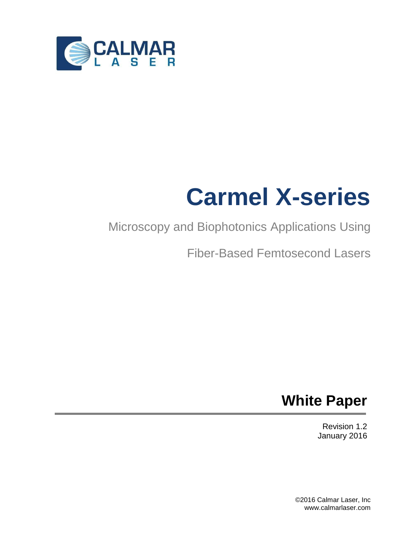

# **Carmel X-series**

# Microscopy and Biophotonics Applications Using

Fiber-Based Femtosecond Lasers

# **White Paper**

Revision 1.2 January 2016

©2016 Calmar Laser, Inc www.calmarlaser.com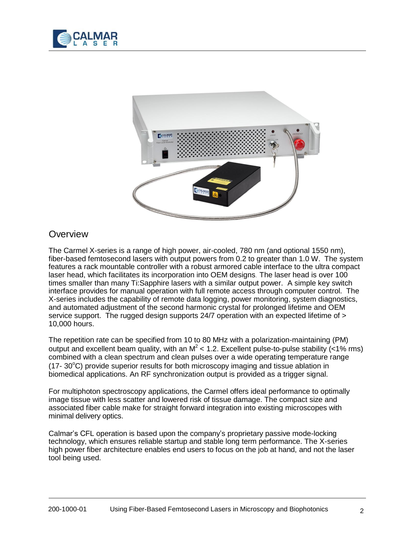



# **Overview**

The Carmel X-series is a range of high power, air-cooled, 780 nm (and optional 1550 nm), fiber-based femtosecond lasers with output powers from 0.2 to greater than 1.0 W. The system features a rack mountable controller with a robust armored cable interface to the ultra compact laser head, which facilitates its incorporation into OEM designs. The laser head is over 100 times smaller than many Ti:Sapphire lasers with a similar output power. A simple key switch interface provides for manual operation with full remote access through computer control. The X-series includes the capability of remote data logging, power monitoring, system diagnostics, and automated adjustment of the second harmonic crystal for prolonged lifetime and OEM service support. The rugged design supports 24/7 operation with an expected lifetime of  $>$ 10,000 hours.

The repetition rate can be specified from 10 to 80 MHz with a polarization-maintaining (PM) output and excellent beam quality, with an  $M^2$  < 1.2. Excellent pulse-to-pulse stability (<1% rms) combined with a clean spectrum and clean pulses over a wide operating temperature range (17- 30°C) provide superior results for both microscopy imaging and tissue ablation in biomedical applications. An RF synchronization output is provided as a trigger signal.

For multiphoton spectroscopy applications, the Carmel offers ideal performance to optimally image tissue with less scatter and lowered risk of tissue damage. The compact size and associated fiber cable make for straight forward integration into existing microscopes with minimal delivery optics.

Calmar's CFL operation is based upon the company's proprietary passive mode-locking technology, which ensures reliable startup and stable long term performance. The X-series high power fiber architecture enables end users to focus on the job at hand, and not the laser tool being used.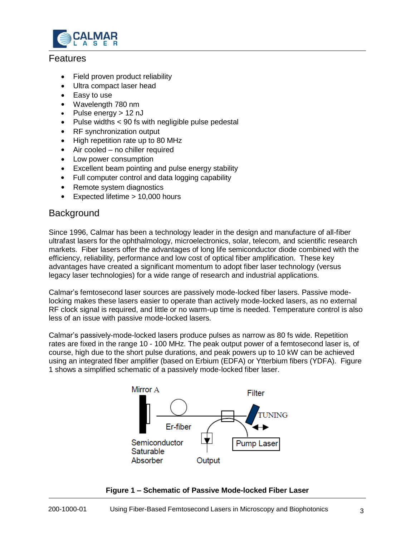

## Features

- Field proven product reliability
- Ultra compact laser head
- Easy to use
- Wavelength 780 nm
- Pulse energy  $> 12$  nJ
- Pulse widths < 90 fs with negligible pulse pedestal
- RF synchronization output
- High repetition rate up to 80 MHz
- Air cooled no chiller required
- Low power consumption
- Excellent beam pointing and pulse energy stability
- Full computer control and data logging capability
- Remote system diagnostics
- Expected lifetime > 10,000 hours

# **Background**

Since 1996, Calmar has been a technology leader in the design and manufacture of all-fiber ultrafast lasers for the ophthalmology, microelectronics, solar, telecom, and scientific research markets. Fiber lasers offer the advantages of long life semiconductor diode combined with the efficiency, reliability, performance and low cost of optical fiber amplification. These key advantages have created a significant momentum to adopt fiber laser technology (versus legacy laser technologies) for a wide range of research and industrial applications.

Calmar's femtosecond laser sources are passively mode-locked fiber lasers. Passive modelocking makes these lasers easier to operate than actively mode-locked lasers, as no external RF clock signal is required, and little or no warm-up time is needed. Temperature control is also less of an issue with passive mode-locked lasers.

Calmar's passively-mode-locked lasers produce pulses as narrow as 80 fs wide. Repetition rates are fixed in the range 10 - 100 MHz. The peak output power of a femtosecond laser is, of course, high due to the short pulse durations, and peak powers up to 10 kW can be achieved using an integrated fiber amplifier (based on Erbium (EDFA) or Ytterbium fibers (YDFA). Figure 1 shows a simplified schematic of a passively mode-locked fiber laser.



### **Figure 1 – Schematic of Passive Mode-locked Fiber Laser**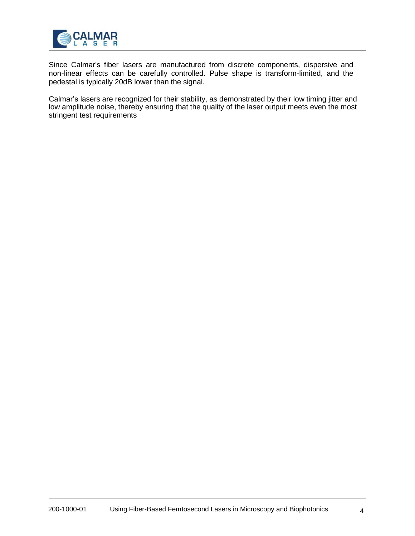

Since Calmar's fiber lasers are manufactured from discrete components, dispersive and non-linear effects can be carefully controlled. Pulse shape is transform-limited, and the pedestal is typically 20dB lower than the signal.

Calmar's lasers are recognized for their stability, as demonstrated by their low timing jitter and low amplitude noise, thereby ensuring that the quality of the laser output meets even the most stringent test requirements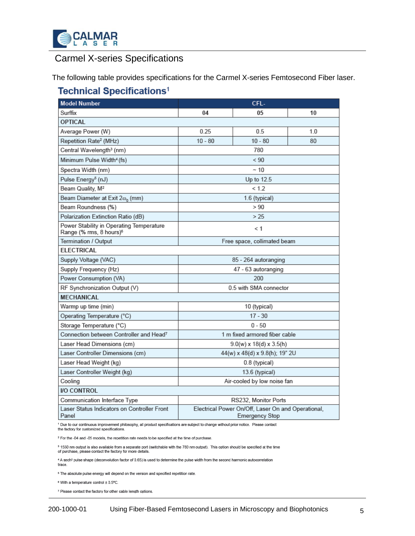

# Carmel X-series Specifications

The following table provides specifications for the Carmel X-series Femtosecond Fiber laser.

# **Technical Specifications<sup>1</sup>**

| <b>Model Number</b>                                                             | CFL-                                                                        |           |     |
|---------------------------------------------------------------------------------|-----------------------------------------------------------------------------|-----------|-----|
| Surffix                                                                         | 04                                                                          | 05        | 10  |
| <b>OPTICAL</b>                                                                  |                                                                             |           |     |
| Average Power (W)                                                               | 0.25                                                                        | 0.5       | 1.0 |
| Repetition Rate <sup>2</sup> (MHz)                                              | $10 - 80$                                                                   | $10 - 80$ | 80  |
| Central Wavelength <sup>3</sup> (nm)                                            | 780                                                                         |           |     |
| Minimum Pulse Width <sup>4</sup> (fs)                                           | < 90                                                                        |           |     |
| Spectra Width (nm)                                                              | $~\sim$ 10                                                                  |           |     |
| Pulse Energy <sup>5</sup> (nJ)                                                  | Up to 12.5                                                                  |           |     |
| Beam Quality, M <sup>2</sup>                                                    | < 1.2                                                                       |           |     |
| Beam Diameter at Exit 200 (mm)                                                  | 1.6 (typical)                                                               |           |     |
| Beam Roundness (%)                                                              | > 90                                                                        |           |     |
| Polarization Extinction Ratio (dB)                                              | > 25                                                                        |           |     |
| Power Stability in Operating Temperature<br>Range (% rms, 8 hours) <sup>6</sup> | < 1                                                                         |           |     |
| Termination / Output                                                            | Free space, collimated beam                                                 |           |     |
| <b>ELECTRICAL</b>                                                               |                                                                             |           |     |
| Supply Voltage (VAC)                                                            | 85 - 264 autoranging                                                        |           |     |
| Supply Frequency (Hz)                                                           | 47 - 63 autoranging                                                         |           |     |
| Power Consumption (VA)                                                          | 200                                                                         |           |     |
| RF Synchronization Output (V)                                                   | 0.5 with SMA connector                                                      |           |     |
| <b>MECHANICAL</b>                                                               |                                                                             |           |     |
| Warmp up time (min)                                                             | 10 (typical)                                                                |           |     |
| Operating Temperature (°C)                                                      | $17 - 30$                                                                   |           |     |
| Storage Temperature (°C)                                                        | $0 - 50$                                                                    |           |     |
| Connection between Controller and Head <sup>7</sup>                             | 1 m fixed armored fiber cable                                               |           |     |
| Laser Head Dimensions (cm)                                                      | $9.0(w) \times 18(d) \times 3.5(h)$                                         |           |     |
| Laser Controller Dimensions (cm)                                                | 44(w) x 48(d) x 9.8(h); 19" 2U                                              |           |     |
| Laser Head Weight (kg)                                                          | 0.8 (typical)                                                               |           |     |
| Laser Controller Weight (kg)                                                    | 13.6 (typical)                                                              |           |     |
| Cooling                                                                         | Air-cooled by low noise fan                                                 |           |     |
| <b>I/O CONTROL</b>                                                              |                                                                             |           |     |
| Communication Interface Type                                                    | RS232, Monitor Ports                                                        |           |     |
| Laser Status Indicators on Controller Front<br>Panel                            | Electrical Power On/Off, Laser On and Operational,<br><b>Emergency Stop</b> |           |     |

<sup>1</sup> Due to our continuous improvement philosophy, all product specifications are subject to change without prior notice. Please contact<br>the factory for customized specifications.

<sup>2</sup> For the -04 and -05 models, the repetition rate needs to be specified at the time of purchase.

<sup>3</sup> 1550 nm output is also available from a separate port (switchable with the 780 nm output). This option should be specified at the time of purchase, please contact the factory for more details.

4 A sech<sup>2</sup> pulse shape (deconvolution factor of 0.65) is used to determine the pulse width from the second harmonic autocorrelation trace

<sup>5</sup> The absolute pulse energy will depend on the version and specified repetition rate.

<sup>e</sup> With a temperature control ± 0.5°C.

7 Please contact the factory for other cable length options.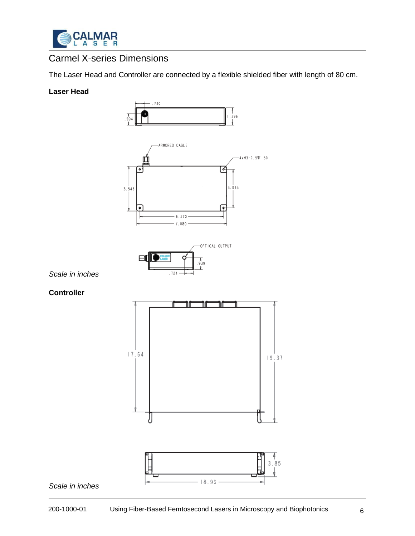

# Carmel X-series Dimensions

The Laser Head and Controller are connected by a flexible shielded fiber with length of 80 cm.

#### **Laser Head**



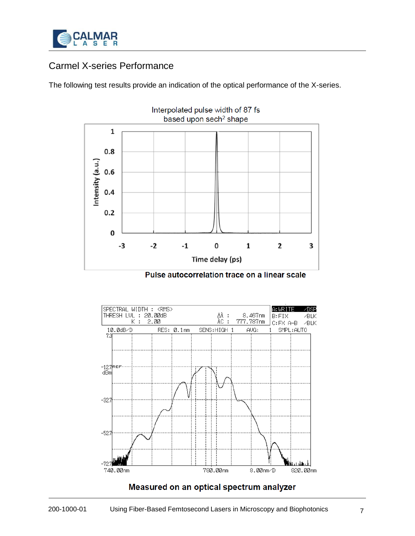

# Carmel X-series Performance

The following test results provide an indication of the optical performance of the X-series.



Pulse autocorrelation trace on a linear scale



# Measured on an optical spectrum analyzer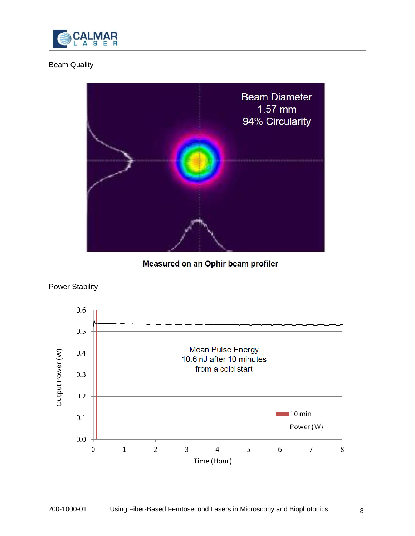

# Beam Quality



Measured on an Ophir beam profiler



## Power Stability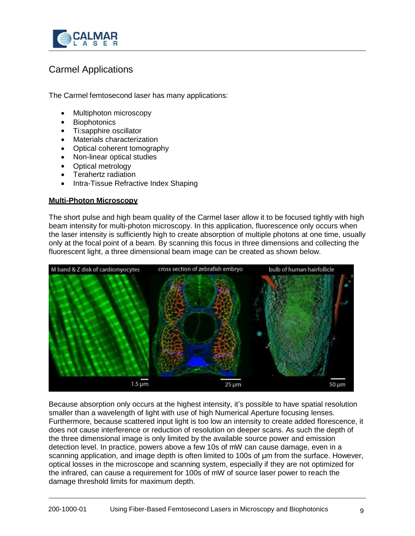

# Carmel Applications

The Carmel femtosecond laser has many applications:

- Multiphoton microscopy
- **Biophotonics**
- Ti:sapphire oscillator
- Materials characterization
- Optical coherent tomography
- Non-linear optical studies
- Optical metrology
- Terahertz radiation
- Intra-Tissue Refractive Index Shaping

### **Multi-Photon Microscopy**

The short pulse and high beam quality of the Carmel laser allow it to be focused tightly with high beam intensity for multi-photon microscopy. In this application, fluorescence only occurs when the laser intensity is sufficiently high to create absorption of multiple photons at one time, usually only at the focal point of a beam. By scanning this focus in three dimensions and collecting the fluorescent light, a three dimensional beam image can be created as shown below.



Because absorption only occurs at the highest intensity, it's possible to have spatial resolution smaller than a wavelength of light with use of high Numerical Aperture focusing lenses. Furthermore, because scattered input light is too low an intensity to create added florescence, it does not cause interference or reduction of resolution on deeper scans. As such the depth of the three dimensional image is only limited by the available source power and emission detection level. In practice, powers above a few 10s of mW can cause damage, even in a scanning application, and image depth is often limited to 100s of  $\mu$ m from the surface. However, optical losses in the microscope and scanning system, especially if they are not optimized for the infrared, can cause a requirement for 100s of mW of source laser power to reach the damage threshold limits for maximum depth.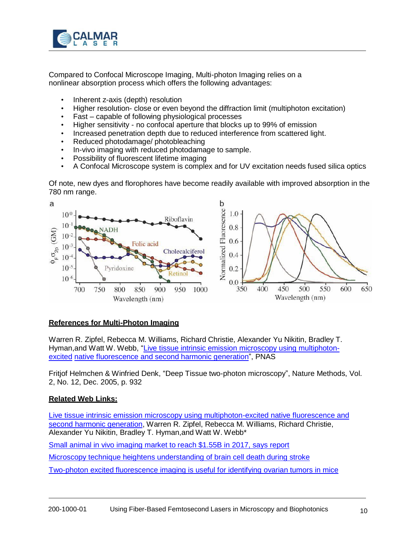

Compared to Confocal Microscope Imaging, Multi-photon Imaging relies on a nonlinear absorption process which offers the following advantages:

- Inherent z-axis (depth) resolution
- Higher resolution- close or even beyond the diffraction limit (multiphoton excitation)
- Fast capable of following physiological processes
- Higher sensitivity no confocal aperture that blocks up to 99% of emission
- Increased penetration depth due to reduced interference from scattered light.
- Reduced photodamage/ photobleaching
- In-vivo imaging with reduced photodamage to sample.
- Possibility of fluorescent lifetime imaging
- A Confocal Microscope system is complex and for UV excitation needs fused silica optics

Of note, new dyes and florophores have become readily available with improved absorption in the 780 nm range.



#### **References for Multi-Photon Imaging**

Warren R. Zipfel, Rebecca M. Williams, Richard Christie, Alexander Yu Nikitin, Bradley T. Hyman,and Watt W. Webb, "Live tissue intrinsic [emission microscopy](http://www.pnas.org/content/100/12/7075) using multiphoton[excited](http://www.pnas.org/content/100/12/7075) [native fluorescence](http://www.pnas.org/content/100/12/7075) and second harmonic generation", PNAS

Fritjof Helmchen & Winfried Denk, "Deep Tissue two-photon microscopy", Nature Methods, Vol. 2, No. 12, Dec. 2005, p. 932

### **Related Web Links:**

Live tissue intrinsic emission microscopy [using multiphoton-excited native fluorescence](http://www.pnas.org/content/100/12/7075) and [second harmonic](http://www.pnas.org/content/100/12/7075) generation, Warren R. Zipfel, Rebecca M. Williams, Richard Christie, Alexander Yu Nikitin, Bradley T. Hyman,and Watt W. Webb\*

[Small animal in vivo imaging market](http://www.bioopticsworld.com/articles/2013/06/small-animal-in-vivo-imaging-market-to-reach--1-55b-in-2017--say.html) to reach \$1.55B in 2017, says report

Microscopy technique heightens understanding [of brain cell death during stroke](http://www.bioopticsworld.com/articles/2010/10/microscopy-understanding-brain-cell-death-during-stroke.html)

Two-photon excited [fluorescence imaging is useful](http://www.bioopticsworld.com/articles/2013/05/Two-photon-excited-fluorescence-imaging-is-useful-for-identifying-ovarian-tumors-in-mice.html) for identifying ovarian tumors in mice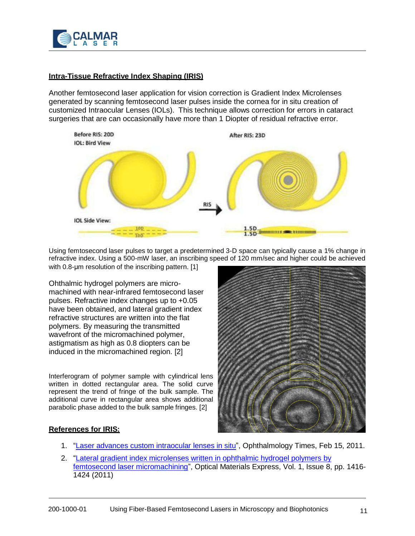

#### **Intra-Tissue Refractive Index Shaping (IRIS)**

Another femtosecond laser application for vision correction is Gradient Index Microlenses generated by scanning femtosecond laser pulses inside the cornea for in situ creation of customized Intraocular Lenses (IOLs). This technique allows correction for errors in cataract surgeries that are can occasionally have more than 1 Diopter of residual refractive error.



Using femtosecond laser pulses to target a predetermined 3-D space can typically cause a 1% change in refractive index. Using a 500-mW laser, an inscribing speed of 120 mm/sec and higher could be achieved with 0.8-um resolution of the inscribing pattern. [1]

Ohthalmic hydrogel polymers are micromachined with near-infrared femtosecond laser pulses. Refractive index changes up to +0.05 have been obtained, and lateral gradient index refractive structures are written into the flat polymers. By measuring the transmitted wavefront of the micromachined polymer, astigmatism as high as 0.8 diopters can be induced in the micromachined region. [2]

Interferogram of polymer sample with cylindrical lens written in dotted rectangular area. The solid curve represent the trend of fringe of the bulk sample. The additional curve in rectangular area shows additional parabolic phase added to the bulk sample fringes. [2]



#### **References for IRIS:**

- 1. "Laser [advances custom](http://ophthalmologytimes.modernmedicine.com/ophthalmologytimes/news/modernmedicine/modern-medicine-feature-articles/laser-advances-custom-intrao) intraocular lenses in situ", Ophthalmology Times, Feb 15, 2011.
- 2. "Lateral gradient index [microlenses written in](http://dx.doi.org/10.1364/OME.1.001416) ophthalmic hydrogel polymers by femtosecond laser [micromachining",](http://dx.doi.org/10.1364/OME.1.001416) Optical Materials Express, Vol. 1, Issue 8, pp. 1416- 1424 (2011)